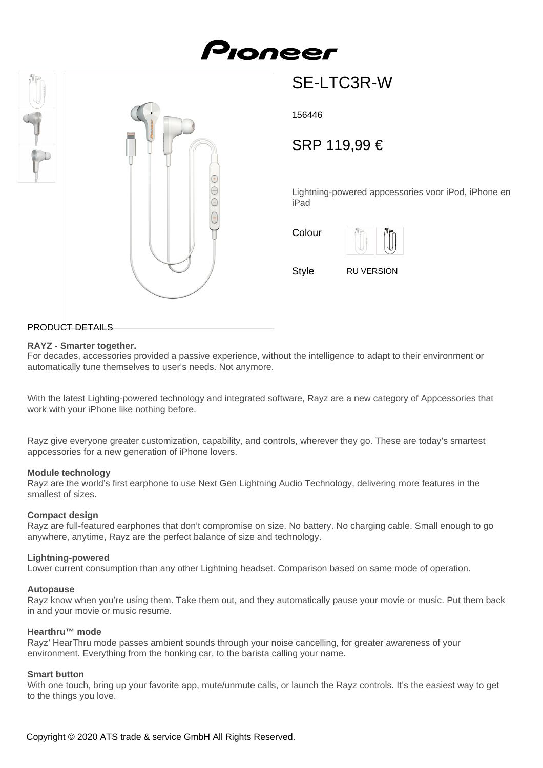# Pionee



## SE-LTC3R-W

156446

### SRP 119,99 €

Lightning-powered appcessories voor iPod, iPhone en iPad

Colour



Style RU VERSION

#### PRODUCT DETAILS

#### **RAYZ - Smarter together.**

For decades, accessories provided a passive experience, without the intelligence to adapt to their environment or automatically tune themselves to user's needs. Not anymore.

With the latest Lighting-powered technology and integrated software, Rayz are a new category of Appcessories that work with your iPhone like nothing before.

Rayz give everyone greater customization, capability, and controls, wherever they go. These are today's smartest appcessories for a new generation of iPhone lovers.

#### **Module technology**

Rayz are the world's first earphone to use Next Gen Lightning Audio Technology, delivering more features in the smallest of sizes.

#### **Compact design**

Rayz are full-featured earphones that don't compromise on size. No battery. No charging cable. Small enough to go anywhere, anytime, Rayz are the perfect balance of size and technology.

#### **Lightning-powered**

Lower current consumption than any other Lightning headset. Comparison based on same mode of operation.

#### **Autopause**

Rayz know when you're using them. Take them out, and they automatically pause your movie or music. Put them back in and your movie or music resume.

#### **Hearthru™ mode**

Rayz' HearThru mode passes ambient sounds through your noise cancelling, for greater awareness of your environment. Everything from the honking car, to the barista calling your name.

#### **Smart button**

With one touch, bring up your favorite app, mute/unmute calls, or launch the Rayz controls. It's the easiest way to get to the things you love.

Copyright © 2020 ATS trade & service GmbH All Rights Reserved.